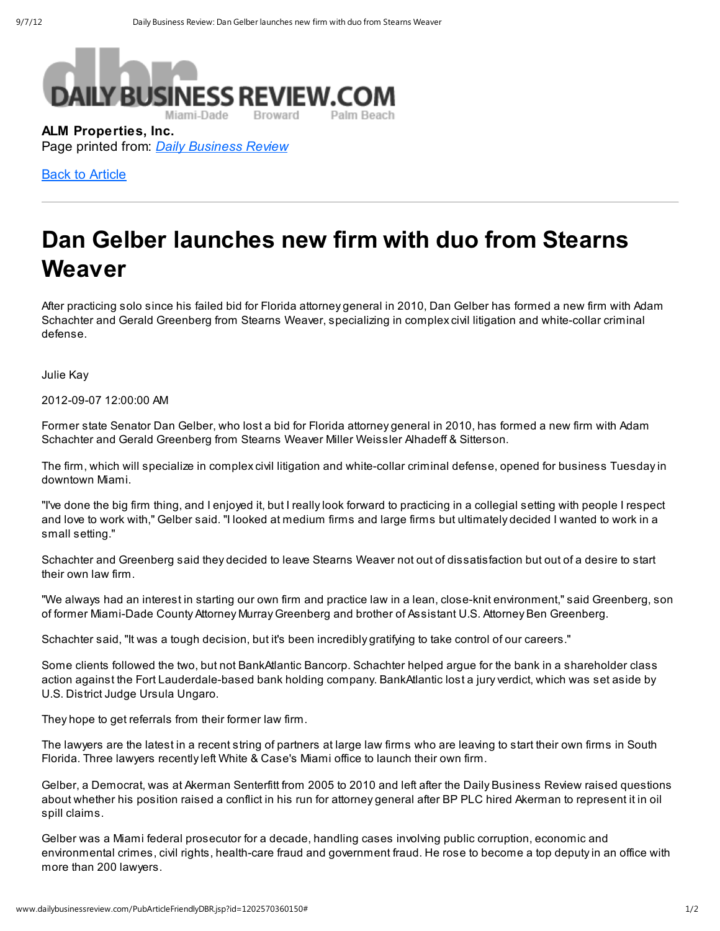

ALM Properties, Inc. Page printed from: Daily Business Review

**Back to Article** 

## Dan Gelber launches new firm with duo from Stearns Weaver

After practicing solo since his failed bid for Florida attorney general in 2010, Dan Gelber has formed a new firm with Adam Schachter and Gerald Greenberg from Stearns Weaver, specializing in complex civil litigation and white-collar criminal defense.

Julie Kay

2012-09-07 12:00:00 AM

Former state Senator Dan Gelber, who lost a bid for Florida attorney general in 2010, has formed a new firm with Adam Schachter and Gerald Greenberg from Stearns Weaver Miller Weissler Alhadeff & Sitterson.

The firm, which will specialize in complex civil litigation and white-collar criminal defense, opened for business Tuesday in downtown Miami.

"I've done the big firm thing, and I enjoyed it, but I really look forward to practicing in a collegial setting with people I respect and love to work with," Gelber said. "I looked at medium firms and large firms but ultimately decided I wanted to work in a small setting."

Schachter and Greenberg said they decided to leave Stearns Weaver not out of dissatisfaction but out of a desire to start their own law firm.

"We always had an interest in starting our own firm and practice law in a lean, close-knit environment," said Greenberg, son of former Miami-Dade County Attorney Murray Greenberg and brother of Assistant U.S. Attorney Ben Greenberg.

Schachter said, "It was a tough decision, but it's been incredibly gratifying to take control of our careers."

Some clients followed the two, but not BankAtlantic Bancorp. Schachter helped argue for the bank in a shareholder class action against the Fort Lauderdale-based bank holding company. BankAtlantic lost a jury verdict, which was set aside by U.S. District Judge Ursula Ungaro.

They hope to get referrals from their former law firm.

The lawyers are the latest in a recent string of partners at large law firms who are leaving to start their own firms in South Florida. Three lawyers recently left White & Case's Miami office to launch their own firm.

Gelber, a Democrat, was at Akerman Senterfitt from 2005 to 2010 and left after the Daily Business Review raised questions about whether his position raised a conflict in his run for attorney general after BP PLC hired Akerman to represent it in oil spill claims.

Gelber was a Miami federal prosecutor for a decade, handling cases involving public corruption, economic and environmental crimes, civil rights, health-care fraud and government fraud. He rose to become a top deputy in an office with more than 200 lawyers.